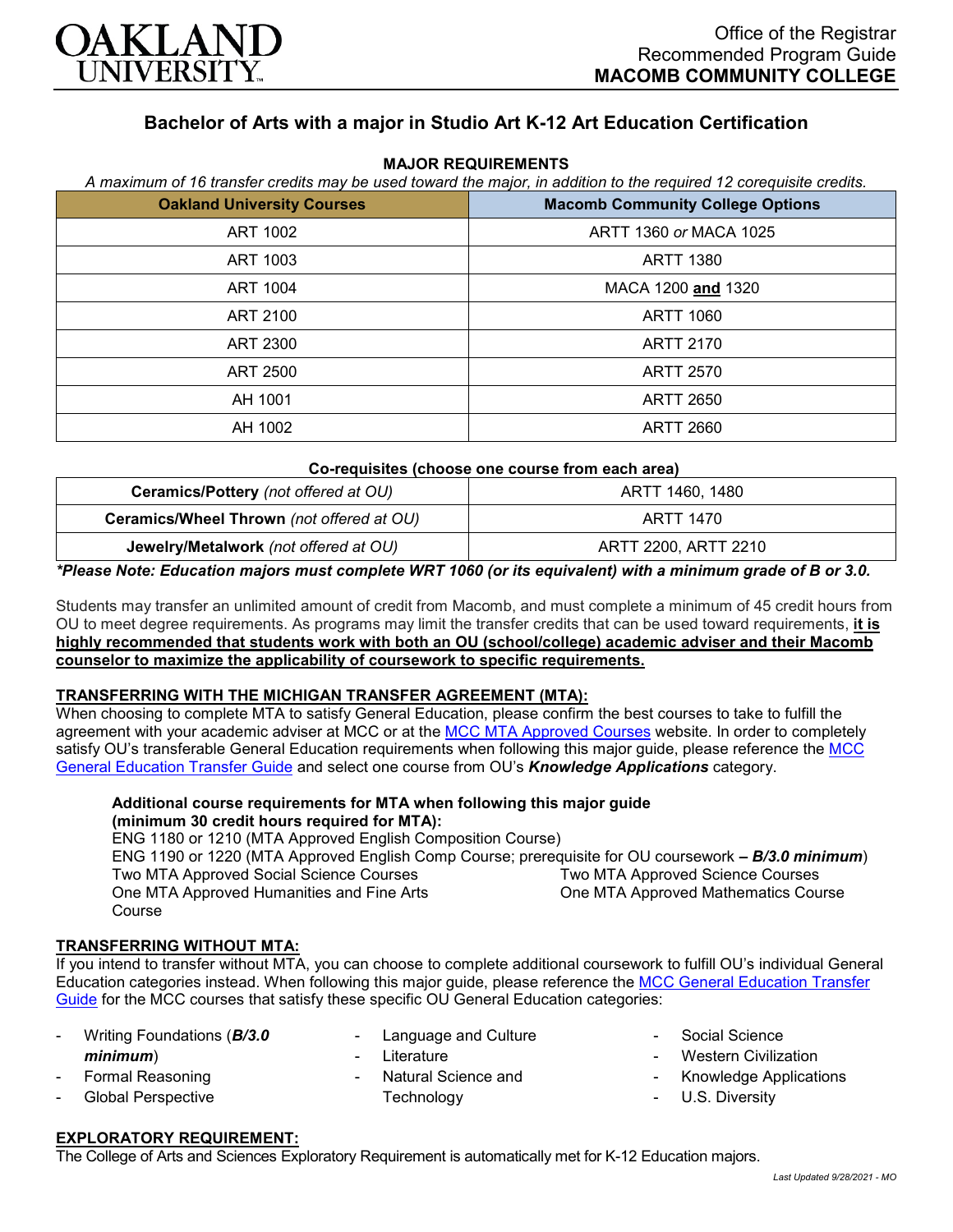

# **Bachelor of Arts with a major in Studio Art K-12 Art Education Certification**

| <b>Oakland University Courses</b> | <b>Macomb Community College Options</b> |
|-----------------------------------|-----------------------------------------|
| ART 1002                          | ARTT 1360 or MACA 1025                  |
| ART 1003                          | <b>ARTT 1380</b>                        |
| <b>ART 1004</b>                   | MACA 1200 and 1320                      |
| ART 2100                          | <b>ARTT 1060</b>                        |
| ART 2300                          | <b>ARTT 2170</b>                        |
| ART 2500                          | <b>ARTT 2570</b>                        |
| AH 1001                           | <b>ARTT 2650</b>                        |
| AH 1002                           | <b>ARTT 2660</b>                        |

#### **MAJOR REQUIREMENTS** *A maximum of 16 transfer credits may be used toward the major, in addition to the required 12 corequisite credits.*

#### **Co-requisites (choose one course from each area)**

| Ceramics/Pottery (not offered at OU)      | ARTT 1460. 1480      |
|-------------------------------------------|----------------------|
| Ceramics/Wheel Thrown (not offered at OU) | ARTT 1470            |
| Jewelry/Metalwork (not offered at OU)     | ARTT 2200, ARTT 2210 |

#### *\*Please Note: Education majors must complete WRT 1060 (or its equivalent) with a minimum grade of B or 3.0.*

Students may transfer an unlimited amount of credit from Macomb, and must complete a minimum of 45 credit hours from OU to meet degree requirements. As programs may limit the transfer credits that can be used toward requirements, **it is highly recommended that students work with both an OU (school/college) academic adviser and their Macomb counselor to maximize the applicability of coursework to specific requirements.**

#### **TRANSFERRING WITH THE MICHIGAN TRANSFER AGREEMENT (MTA):**

When choosing to complete MTA to satisfy General Education, please confirm the best courses to take to fulfill the agreement with your academic adviser at MCC or at the [MCC MTA Approved Courses](http://www.macomb.edu/resources/transfer-articulation/attachments/mta-macrao-course-list.pdf) website. In order to completely satisfy OU's transferable General Education requirements when following this major guide, please reference the MCC [General Education Transfer Guide](https://wwwp.oakland.edu/Assets/Oakland/program-guides/macomb-community-college/university-general-education-requirements/MCC%20Gen%20Ed.pdf) and select one course from OU's *Knowledge Applications* category.

## **Additional course requirements for MTA when following this major guide (minimum 30 credit hours required for MTA):**

ENG 1180 or 1210 (MTA Approved English Composition Course) ENG 1190 or 1220 (MTA Approved English Comp Course; prerequisite for OU coursework *– B/3.0 minimum*) Two MTA Approved Social Science Courses One MTA Approved Humanities and Fine Arts Course Two MTA Approved Science Courses One MTA Approved Mathematics Course

#### **TRANSFERRING WITHOUT MTA:**

If you intend to transfer without MTA, you can choose to complete additional coursework to fulfill OU's individual General Education categories instead. When following this major guide, please reference the MCC General Education Transfer [Guide](https://wwwp.oakland.edu/Assets/Oakland/program-guides/macomb-community-college/university-general-education-requirements/MCC%20Gen%20Ed.pdf) for the MCC courses that satisfy these specific OU General Education categories:

- Writing Foundations (*B/3.0 minimum*) - Formal Reasoning
- 
- Global Perspective
- Language and Culture
- **Literature**
- Natural Science and **Technology**
- Social Science
- Western Civilization
- Knowledge Applications
- U.S. Diversity

# **EXPLORATORY REQUIREMENT:**

The College of Arts and Sciences Exploratory Requirement is automatically met for K-12 Education majors.